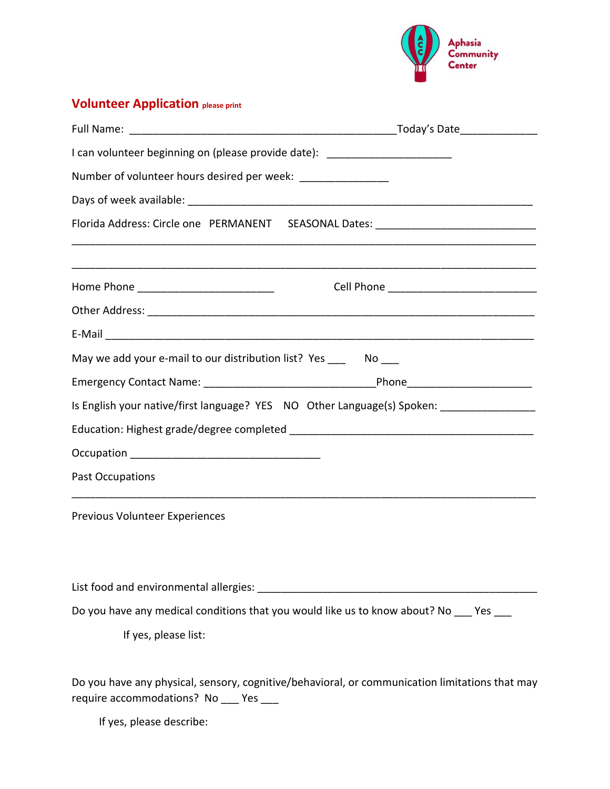

## **Volunteer Application please print**

| I can volunteer beginning on (please provide date): ____________________________ |                                                                                                |
|----------------------------------------------------------------------------------|------------------------------------------------------------------------------------------------|
| Number of volunteer hours desired per week: ________________                     |                                                                                                |
|                                                                                  |                                                                                                |
|                                                                                  | Florida Address: Circle one PERMANENT SEASONAL Dates: __________________________               |
| Home Phone ______________________________                                        |                                                                                                |
|                                                                                  |                                                                                                |
|                                                                                  |                                                                                                |
| May we add your e-mail to our distribution list? Yes ______ No ____              |                                                                                                |
|                                                                                  |                                                                                                |
|                                                                                  | Is English your native/first language? YES NO Other Language(s) Spoken: _______________        |
|                                                                                  |                                                                                                |
|                                                                                  |                                                                                                |
| Past Occupations                                                                 |                                                                                                |
| Previous Volunteer Experiences                                                   |                                                                                                |
|                                                                                  |                                                                                                |
|                                                                                  | Do you have any medical conditions that you would like us to know about? No ___ Yes ___        |
| If yes, please list:                                                             |                                                                                                |
| require accommodations? No ___ Yes ___                                           | Do you have any physical, sensory, cognitive/behavioral, or communication limitations that may |

If yes, please describe: